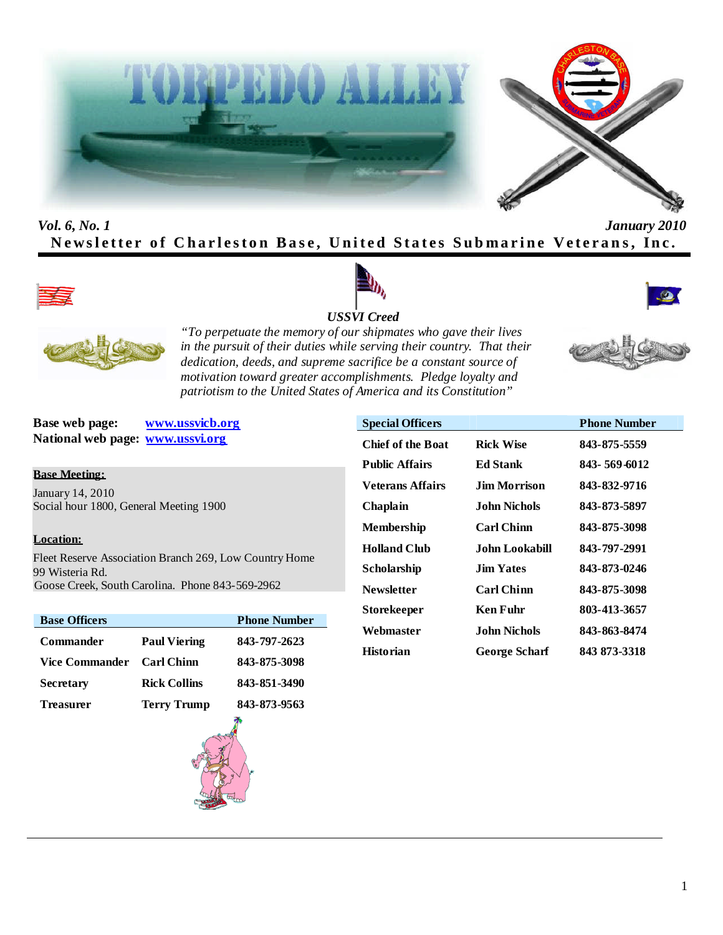



# *Vol. 6, No. 1 January 2010* **Newsletter of Charleston Base, United States Submarine Veterans, Inc.**









*"To perpetuate the memory of our shipmates who gave their lives in the pursuit of their duties while serving their country. That their dedication, deeds, and supreme sacrifice be a constant source of motivation toward greater accomplishments. Pledge loyalty and patriotism to the United States of America and its Constitution"*

**Base web page: www.ussvicb.org National web page: www.ussvi.org**

#### **Base Meeting:**

January 14, 2010 Social hour 1800, General Meeting 1900

#### **Location:**

Fleet Reserve Association Branch 269, Low Country Home 99 Wisteria Rd. Goose Creek, South Carolina. Phone 843-569-2962

| <b>Base Officers</b>  |                     | <b>Phone Number</b> |
|-----------------------|---------------------|---------------------|
| <b>Commander</b>      | <b>Paul Viering</b> | 843-797-2623        |
| <b>Vice Commander</b> | <b>Carl Chinn</b>   | 843-875-3098        |
| <b>Secretary</b>      | <b>Rick Collins</b> | 843-851-3490        |
| Treasurer             | <b>Terry Trump</b>  | 843-873-9563        |



| <b>Special Officers</b>  |                      | <b>Phone Number</b> |
|--------------------------|----------------------|---------------------|
| <b>Chief of the Boat</b> | <b>Rick Wise</b>     | 843-875-5559        |
| <b>Public Affairs</b>    | <b>Ed Stank</b>      | 843-569-6012        |
| <b>Veterans Affairs</b>  | Jim Morrison         | 843-832-9716        |
| Chaplain                 | John Nichols         | 843-873-5897        |
| <b>Membership</b>        | <b>Carl Chinn</b>    | 843-875-3098        |
| <b>Holland Club</b>      | John Lookabill       | 843-797-2991        |
| Scholarship              | <b>Jim Yates</b>     | 843-873-0246        |
| <b>Newsletter</b>        | <b>Carl Chinn</b>    | 843-875-3098        |
| Storekeeper              | Ken Fuhr             | 803-413-3657        |
| Webmaster                | John Nichols         | 843-863-8474        |
| <b>Historian</b>         | <b>George Scharf</b> | 843 873-3318        |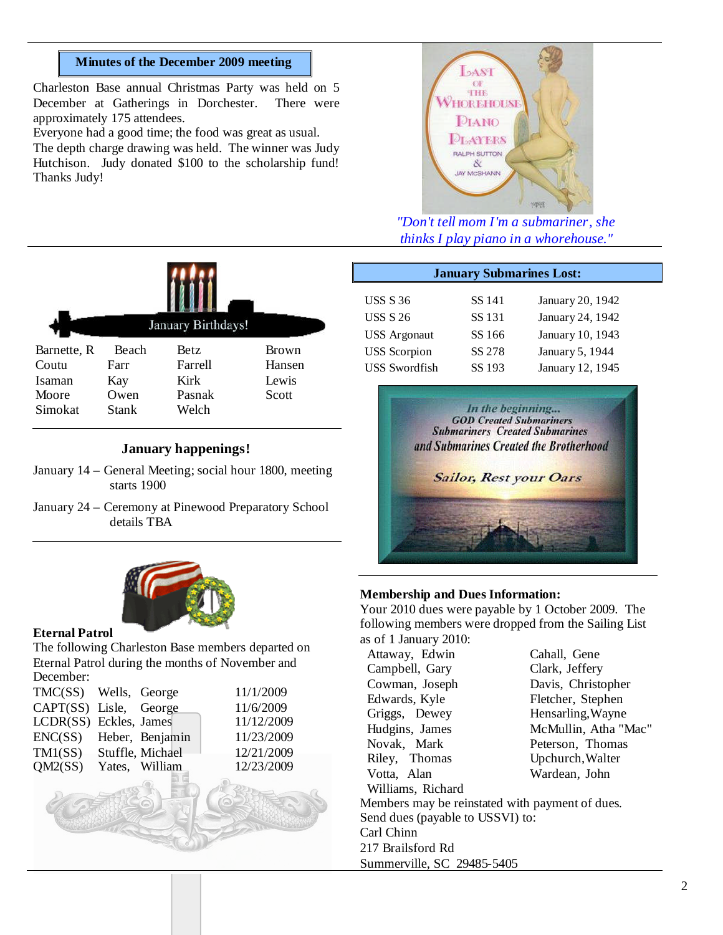#### **Minutes of the December 2009 meeting**

Charleston Base annual Christmas Party was held on 5 December at Gatherings in Dorchester. There were approximately 175 attendees.

Everyone had a good time; the food was great as usual. The depth charge drawing was held. The winner was Judy Hutchison. Judy donated \$100 to the scholarship fund! Thanks Judy!



*"Don't tell mom I'm a submariner, she thinks I play piano in a whorehouse."*

|             | January Birthdays! |         |        |  |
|-------------|--------------------|---------|--------|--|
| Barnette, R | Beach              | Betz    | Brown  |  |
| Coutu       | Farr               | Farrell | Hansen |  |
| Isaman      | Kay                | Kirk    | Lewis  |  |
| Moore       | Owen               | Pasnak  | Scott  |  |
| Simokat     | <b>Stank</b>       | Welch   |        |  |
|             |                    |         |        |  |

#### **January happenings!**

- January 14 General Meeting; social hour 1800, meeting starts 1900
- January 24 Ceremony at Pinewood Preparatory School details TBA



#### **Eternal Patrol**

The following Charleston Base members departed on Eternal Patrol during the months of November and December:

|  | 11/1/2009                                                                                                                                          |
|--|----------------------------------------------------------------------------------------------------------------------------------------------------|
|  | 11/6/2009                                                                                                                                          |
|  | 11/12/2009                                                                                                                                         |
|  | 11/23/2009                                                                                                                                         |
|  | 12/21/2009                                                                                                                                         |
|  | 12/23/2009                                                                                                                                         |
|  |                                                                                                                                                    |
|  | TMC(SS) Wells, George<br>CAPT(SS) Lisle, George<br>LCDR(SS) Eckles, James<br>ENC(SS) Heber, Benjamin<br>TM1(SS) Stuffle, Michael<br>Yates, William |

| <b>January Submarines Lost:</b> |        |                  |  |
|---------------------------------|--------|------------------|--|
| <b>USS S 36</b>                 | SS 141 | January 20, 1942 |  |
| <b>USS S 26</b>                 | SS 131 | January 24, 1942 |  |
| <b>USS</b> Argonaut             | SS 166 | January 10, 1943 |  |
| <b>USS</b> Scorpion             | SS 278 | January 5, 1944  |  |
| <b>USS Swordfish</b>            | SS 193 | January 12, 1945 |  |



#### **Membership and Dues Information:**

Your 2010 dues were payable by 1 October 2009. The following members were dropped from the Sailing List as of 1 January 2010:

| Attaway, Edwin                                  | Cahall, Gene         |
|-------------------------------------------------|----------------------|
| Campbell, Gary                                  | Clark, Jeffery       |
| Cowman, Joseph                                  | Davis, Christopher   |
| Edwards, Kyle                                   | Fletcher, Stephen    |
| Griggs, Dewey                                   | Hensarling, Wayne    |
| Hudgins, James                                  | McMullin, Atha "Mac" |
| Novak, Mark                                     | Peterson, Thomas     |
| Riley, Thomas                                   | Upchurch, Walter     |
| Votta, Alan                                     | Wardean, John        |
| Williams, Richard                               |                      |
| Members may be reinstated with payment of dues. |                      |
| Send dues (payable to USSVI) to:                |                      |
| Carl Chinn                                      |                      |
| 217 Brailsford Rd                               |                      |
| Summerville, SC 29485-5405                      |                      |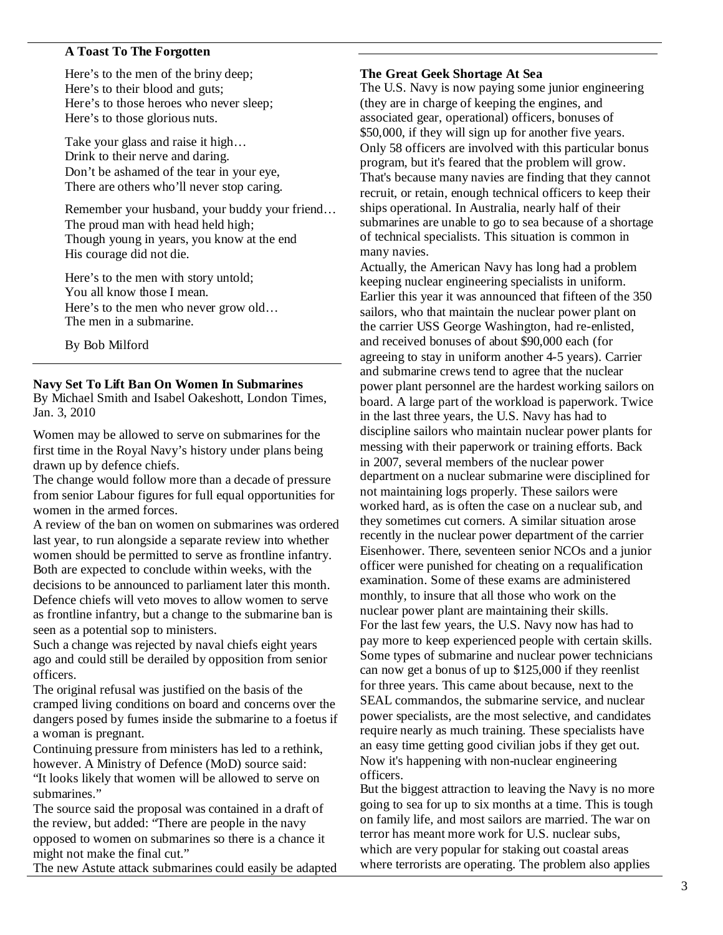### **A Toast To The Forgotten**

Here's to the men of the briny deep; Here's to their blood and guts; Here's to those heroes who never sleep; Here's to those glorious nuts.

Take your glass and raise it high… Drink to their nerve and daring. Don't be ashamed of the tear in your eye, There are others who'll never stop caring.

Remember your husband, your buddy your friend… The proud man with head held high; Though young in years, you know at the end His courage did not die.

Here's to the men with story untold; You all know those I mean. Here's to the men who never grow old… The men in a submarine.

By Bob Milford

#### **Navy Set To Lift Ban On Women In Submarines**

By Michael Smith and Isabel Oakeshott, London Times, Jan. 3, 2010

Women may be allowed to serve on submarines for the first time in the Royal Navy's history under plans being drawn up by defence chiefs.

The change would follow more than a decade of pressure from senior Labour figures for full equal opportunities for women in the armed forces.

A review of the ban on women on submarines was ordered last year, to run alongside a separate review into whether women should be permitted to serve as frontline infantry. Both are expected to conclude within weeks, with the decisions to be announced to parliament later this month. Defence chiefs will veto moves to allow women to serve as frontline infantry, but a change to the submarine ban is seen as a potential sop to ministers.

Such a change was rejected by naval chiefs eight years ago and could still be derailed by opposition from senior officers.

The original refusal was justified on the basis of the cramped living conditions on board and concerns over the dangers posed by fumes inside the submarine to a foetus if a woman is pregnant.

Continuing pressure from ministers has led to a rethink, however. A Ministry of Defence (MoD) source said: "It looks likely that women will be allowed to serve on submarines."

The source said the proposal was contained in a draft of the review, but added: "There are people in the navy opposed to women on submarines so there is a chance it might not make the final cut."

The new Astute attack submarines could easily be adapted

#### **The Great Geek Shortage At Sea**

The U.S. Navy is now paying some junior engineering (they are in charge of keeping the engines, and associated gear, operational) officers, bonuses of \$50,000, if they will sign up for another five years. Only 58 officers are involved with this particular bonus program, but it's feared that the problem will grow. That's because many navies are finding that they cannot recruit, or retain, enough technical officers to keep their ships operational. In Australia, nearly half of their submarines are unable to go to sea because of a shortage of technical specialists. This situation is common in many navies.

Actually, the American Navy has long had a problem keeping nuclear engineering specialists in uniform. Earlier this year it was announced that fifteen of the 350 sailors, who that maintain the nuclear power plant on the carrier USS George Washington, had re-enlisted, and received bonuses of about \$90,000 each (for agreeing to stay in uniform another 4-5 years). Carrier and submarine crews tend to agree that the nuclear power plant personnel are the hardest working sailors on board. A large part of the workload is paperwork. Twice in the last three years, the U.S. Navy has had to discipline sailors who maintain nuclear power plants for messing with their paperwork or training efforts. Back in 2007, several members of the nuclear power department on a nuclear submarine were disciplined for not maintaining logs properly. These sailors were worked hard, as is often the case on a nuclear sub, and they sometimes cut corners. A similar situation arose recently in the nuclear power department of the carrier Eisenhower. There, seventeen senior NCOs and a junior officer were punished for cheating on a requalification examination. Some of these exams are administered monthly, to insure that all those who work on the nuclear power plant are maintaining their skills. For the last few years, the U.S. Navy now has had to pay more to keep experienced people with certain skills. Some types of submarine and nuclear power technicians can now get a bonus of up to \$125,000 if they reenlist for three years. This came about because, next to the SEAL commandos, the submarine service, and nuclear power specialists, are the most selective, and candidates require nearly as much training. These specialists have an easy time getting good civilian jobs if they get out. Now it's happening with non-nuclear engineering officers.

But the biggest attraction to leaving the Navy is no more going to sea for up to six months at a time. This is tough on family life, and most sailors are married. The war on terror has meant more work for U.S. nuclear subs, which are very popular for staking out coastal areas where terrorists are operating. The problem also applies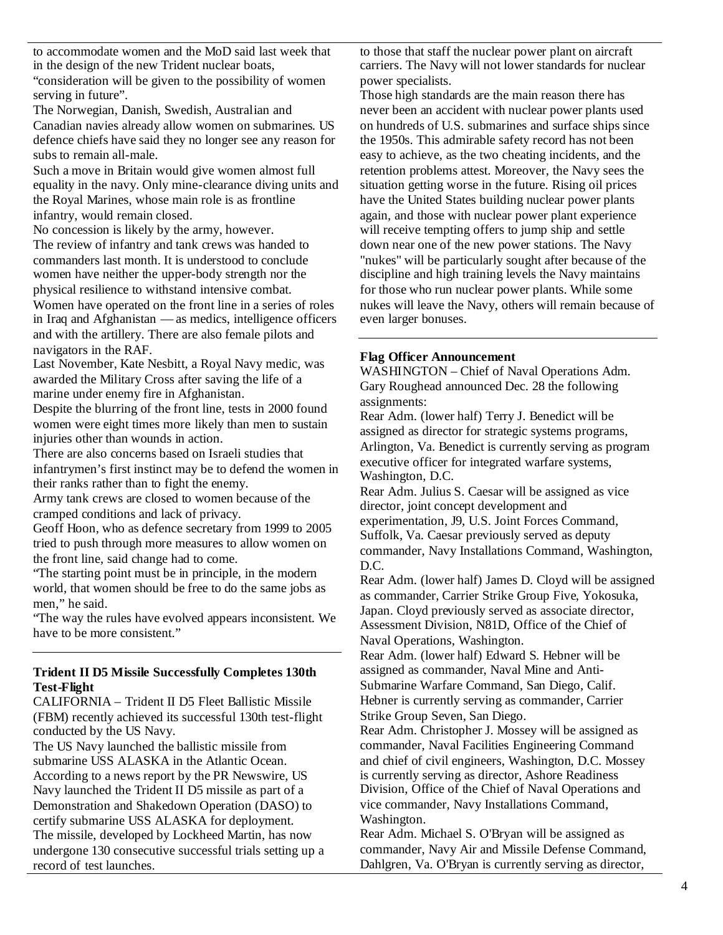to accommodate women and the MoD said last week that in the design of the new Trident nuclear boats, "consideration will be given to the possibility of women serving in future".

The Norwegian, Danish, Swedish, Australian and Canadian navies already allow women on submarines. US defence chiefs have said they no longer see any reason for subs to remain all-male.

Such a move in Britain would give women almost full equality in the navy. Only mine-clearance diving units and the Royal Marines, whose main role is as frontline infantry, would remain closed.

No concession is likely by the army, however.

The review of infantry and tank crews was handed to commanders last month. It is understood to conclude women have neither the upper-body strength nor the physical resilience to withstand intensive combat.

Women have operated on the front line in a series of roles in Iraq and Afghanistan — as medics, intelligence officers and with the artillery. There are also female pilots and navigators in the RAF.

Last November, Kate Nesbitt, a Royal Navy medic, was awarded the Military Cross after saving the life of a marine under enemy fire in Afghanistan.

Despite the blurring of the front line, tests in 2000 found women were eight times more likely than men to sustain injuries other than wounds in action.

There are also concerns based on Israeli studies that infantrymen's first instinct may be to defend the women in their ranks rather than to fight the enemy.

Army tank crews are closed to women because of the cramped conditions and lack of privacy.

Geoff Hoon, who as defence secretary from 1999 to 2005 tried to push through more measures to allow women on the front line, said change had to come.

"The starting point must be in principle, in the modern world, that women should be free to do the same jobs as men," he said.

"The way the rules have evolved appears inconsistent. We have to be more consistent."

### **Trident II D5 Missile Successfully Completes 130th Test-Flight**

CALIFORNIA – Trident II D5 Fleet Ballistic Missile (FBM) recently achieved its successful 130th test-flight conducted by the US Navy.

The US Navy launched the ballistic missile from submarine USS ALASKA in the Atlantic Ocean. According to a news report by the PR Newswire, US Navy launched the Trident II D5 missile as part of a Demonstration and Shakedown Operation (DASO) to certify submarine USS ALASKA for deployment. The missile, developed by Lockheed Martin, has now undergone 130 consecutive successful trials setting up a record of test launches.

to those that staff the nuclear power plant on aircraft carriers. The Navy will not lower standards for nuclear power specialists.

Those high standards are the main reason there has never been an accident with nuclear power plants used on hundreds of U.S. submarines and surface ships since the 1950s. This admirable safety record has not been easy to achieve, as the two cheating incidents, and the retention problems attest. Moreover, the Navy sees the situation getting worse in the future. Rising oil prices have the United States building nuclear power plants again, and those with nuclear power plant experience will receive tempting offers to jump ship and settle down near one of the new power stations. The Navy "nukes" will be particularly sought after because of the discipline and high training levels the Navy maintains for those who run nuclear power plants. While some nukes will leave the Navy, others will remain because of even larger bonuses.

#### **Flag Officer Announcement**

WASHINGTON – Chief of Naval Operations Adm. Gary Roughead announced Dec. 28 the following assignments:

Rear Adm. (lower half) Terry J. Benedict will be assigned as director for strategic systems programs, Arlington, Va. Benedict is currently serving as program executive officer for integrated warfare systems, Washington, D.C.

Rear Adm. Julius S. Caesar will be assigned as vice director, joint concept development and experimentation, J9, U.S. Joint Forces Command, Suffolk, Va. Caesar previously served as deputy commander, Navy Installations Command, Washington, D.C.

Rear Adm. (lower half) James D. Cloyd will be assigned as commander, Carrier Strike Group Five, Yokosuka, Japan. Cloyd previously served as associate director, Assessment Division, N81D, Office of the Chief of Naval Operations, Washington.

Rear Adm. (lower half) Edward S. Hebner will be assigned as commander, Naval Mine and Anti-Submarine Warfare Command, San Diego, Calif. Hebner is currently serving as commander, Carrier Strike Group Seven, San Diego.

Rear Adm. Christopher J. Mossey will be assigned as commander, Naval Facilities Engineering Command and chief of civil engineers, Washington, D.C. Mossey is currently serving as director, Ashore Readiness Division, Office of the Chief of Naval Operations and vice commander, Navy Installations Command, Washington.

Rear Adm. Michael S. O'Bryan will be assigned as commander, Navy Air and Missile Defense Command, Dahlgren, Va. O'Bryan is currently serving as director,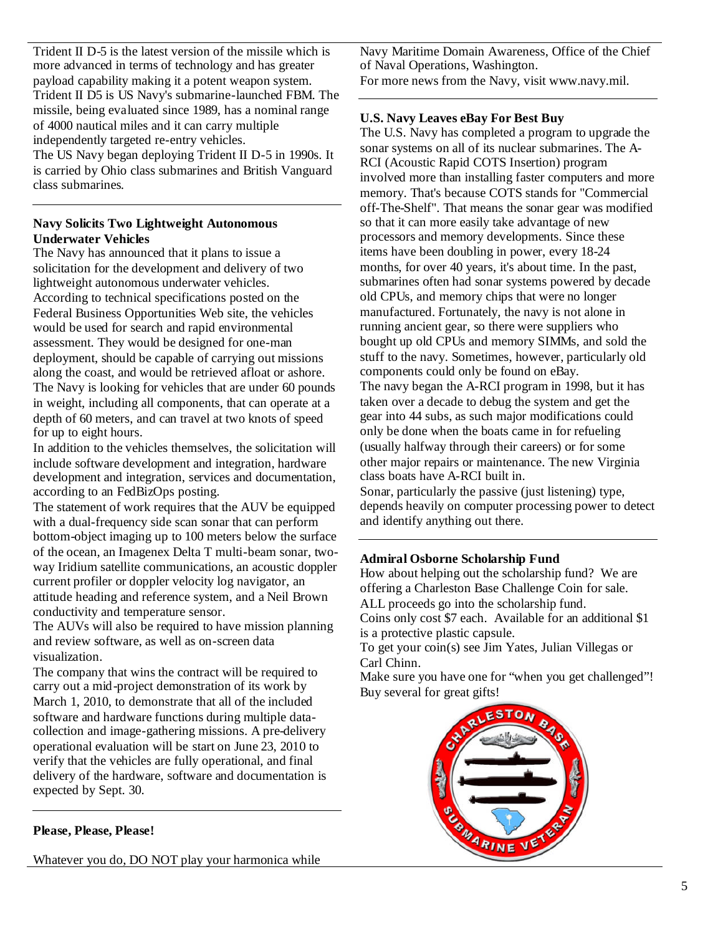Trident II D-5 is the latest version of the missile which is more advanced in terms of technology and has greater payload capability making it a potent weapon system. Trident II D5 is US Navy's submarine-launched FBM. The missile, being evaluated since 1989, has a nominal range of 4000 nautical miles and it can carry multiple independently targeted re-entry vehicles. The US Navy began deploying Trident II D-5 in 1990s. It is carried by Ohio class submarines and British Vanguard class submarines.

## **Navy Solicits Two Lightweight Autonomous Underwater Vehicles**

The Navy has announced that it plans to issue a solicitation for the development and delivery of two lightweight autonomous underwater vehicles. According to technical specifications posted on the Federal Business Opportunities Web site, the vehicles would be used for search and rapid environmental assessment. They would be designed for one-man deployment, should be capable of carrying out missions along the coast, and would be retrieved afloat or ashore. The Navy is looking for vehicles that are under 60 pounds in weight, including all components, that can operate at a depth of 60 meters, and can travel at two knots of speed for up to eight hours.

In addition to the vehicles themselves, the solicitation will include software development and integration, hardware development and integration, services and documentation, according to an FedBizOps posting.

The statement of work requires that the AUV be equipped with a dual-frequency side scan sonar that can perform bottom-object imaging up to 100 meters below the surface of the ocean, an Imagenex Delta T multi-beam sonar, twoway Iridium satellite communications, an acoustic doppler current profiler or doppler velocity log navigator, an attitude heading and reference system, and a Neil Brown conductivity and temperature sensor.

The AUVs will also be required to have mission planning and review software, as well as on-screen data visualization.

The company that wins the contract will be required to carry out a mid-project demonstration of its work by March 1, 2010, to demonstrate that all of the included software and hardware functions during multiple datacollection and image-gathering missions. A pre-delivery operational evaluation will be start on June 23, 2010 to verify that the vehicles are fully operational, and final delivery of the hardware, software and documentation is expected by Sept. 30.

#### **Please, Please, Please!**

Whatever you do, DO NOT play your harmonica while

Navy Maritime Domain Awareness, Office of the Chief of Naval Operations, Washington. For more news from the Navy, visit www.navy.mil.

## **U.S. Navy Leaves eBay For Best Buy**

The U.S. Navy has completed a program to upgrade the sonar systems on all of its nuclear submarines. The A-RCI (Acoustic Rapid COTS Insertion) program involved more than installing faster computers and more memory. That's because COTS stands for "Commercial off-The-Shelf". That means the sonar gear was modified so that it can more easily take advantage of new processors and memory developments. Since these items have been doubling in power, every 18-24 months, for over 40 years, it's about time. In the past, submarines often had sonar systems powered by decade old CPUs, and memory chips that were no longer manufactured. Fortunately, the navy is not alone in running ancient gear, so there were suppliers who bought up old CPUs and memory SIMMs, and sold the stuff to the navy. Sometimes, however, particularly old components could only be found on eBay. The navy began the A-RCI program in 1998, but it has taken over a decade to debug the system and get the gear into 44 subs, as such major modifications could only be done when the boats came in for refueling (usually halfway through their careers) or for some other major repairs or maintenance. The new Virginia class boats have A-RCI built in. Sonar, particularly the passive (just listening) type,

depends heavily on computer processing power to detect and identify anything out there.

#### **Admiral Osborne Scholarship Fund**

How about helping out the scholarship fund? We are offering a Charleston Base Challenge Coin for sale. ALL proceeds go into the scholarship fund. Coins only cost \$7 each. Available for an additional \$1 is a protective plastic capsule.

To get your coin(s) see Jim Yates, Julian Villegas or Carl Chinn.

Make sure you have one for "when you get challenged"! Buy several for great gifts!